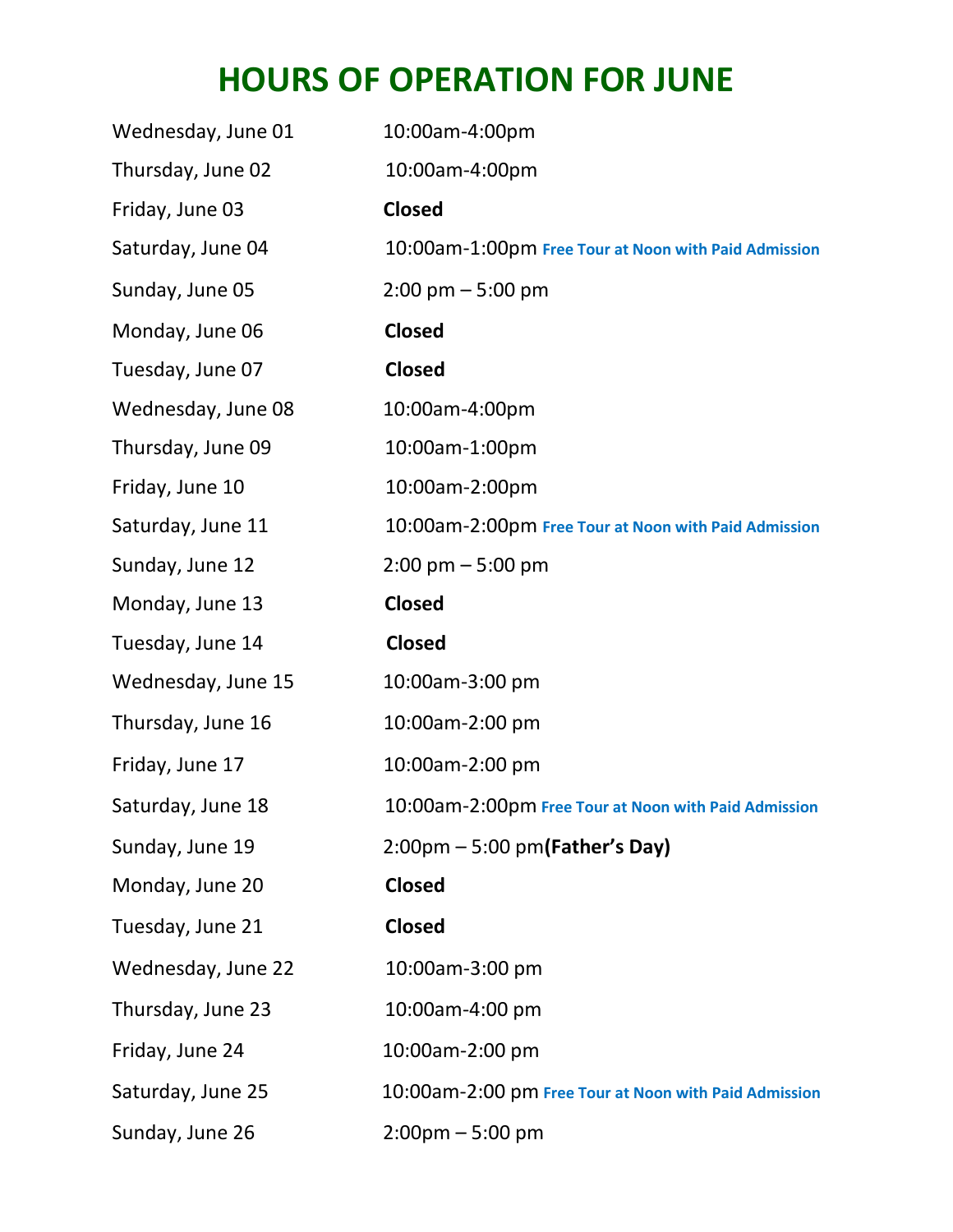## **HOURS OF OPERATION FOR JUNE**

| Wednesday, June 01 | 10:00am-4:00pm                                        |
|--------------------|-------------------------------------------------------|
| Thursday, June 02  | 10:00am-4:00pm                                        |
| Friday, June 03    | <b>Closed</b>                                         |
| Saturday, June 04  | 10:00am-1:00pm Free Tour at Noon with Paid Admission  |
| Sunday, June 05    | $2:00 \text{ pm} - 5:00 \text{ pm}$                   |
| Monday, June 06    | <b>Closed</b>                                         |
| Tuesday, June 07   | <b>Closed</b>                                         |
| Wednesday, June 08 | 10:00am-4:00pm                                        |
| Thursday, June 09  | 10:00am-1:00pm                                        |
| Friday, June 10    | 10:00am-2:00pm                                        |
| Saturday, June 11  | 10:00am-2:00pm Free Tour at Noon with Paid Admission  |
| Sunday, June 12    | $2:00 \text{ pm} - 5:00 \text{ pm}$                   |
| Monday, June 13    | <b>Closed</b>                                         |
| Tuesday, June 14   | <b>Closed</b>                                         |
|                    |                                                       |
| Wednesday, June 15 | 10:00am-3:00 pm                                       |
| Thursday, June 16  | 10:00am-2:00 pm                                       |
| Friday, June 17    | 10:00am-2:00 pm                                       |
| Saturday, June 18  | 10:00am-2:00pm Free Tour at Noon with Paid Admission  |
| Sunday, June 19    | $2:00 \text{pm} - 5:00 \text{pm}$ (Father's Day)      |
| Monday, June 20    | <b>Closed</b>                                         |
| Tuesday, June 21   | <b>Closed</b>                                         |
| Wednesday, June 22 | 10:00am-3:00 pm                                       |
| Thursday, June 23  | 10:00am-4:00 pm                                       |
| Friday, June 24    | 10:00am-2:00 pm                                       |
| Saturday, June 25  | 10:00am-2:00 pm Free Tour at Noon with Paid Admission |